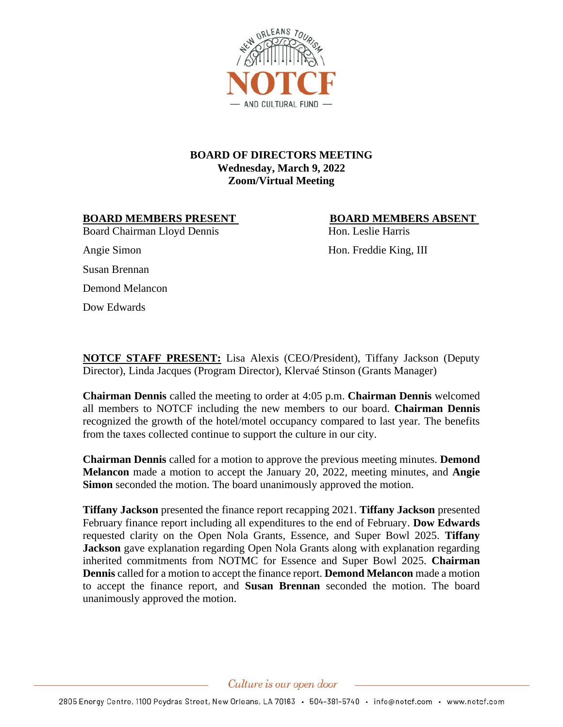

## **BOARD OF DIRECTORS MEETING Wednesday, March 9, 2022 Zoom/Virtual Meeting**

## **BOARD MEMBERS PRESENT BOARD MEMBERS ABSENT**

Board Chairman Lloyd Dennis Hon. Leslie Harris

Angie Simon **Hon.** Freddie King, III

Susan Brennan

Demond Melancon

Dow Edwards

**NOTCF STAFF PRESENT:** Lisa Alexis (CEO/President), Tiffany Jackson (Deputy Director), Linda Jacques (Program Director), Klervaé Stinson (Grants Manager)

**Chairman Dennis** called the meeting to order at 4:05 p.m. **Chairman Dennis** welcomed all members to NOTCF including the new members to our board. **Chairman Dennis**  recognized the growth of the hotel/motel occupancy compared to last year. The benefits from the taxes collected continue to support the culture in our city.

**Chairman Dennis** called for a motion to approve the previous meeting minutes. **Demond Melancon** made a motion to accept the January 20, 2022, meeting minutes, and **Angie Simon** seconded the motion. The board unanimously approved the motion.

**Tiffany Jackson** presented the finance report recapping 2021. **Tiffany Jackson** presented February finance report including all expenditures to the end of February. **Dow Edwards**  requested clarity on the Open Nola Grants, Essence, and Super Bowl 2025. **Tiffany Jackson** gave explanation regarding Open Nola Grants along with explanation regarding inherited commitments from NOTMC for Essence and Super Bowl 2025. **Chairman Dennis** called for a motion to accept the finance report. **Demond Melancon** made a motion to accept the finance report, and **Susan Brennan** seconded the motion. The board unanimously approved the motion.

Culture is our open door